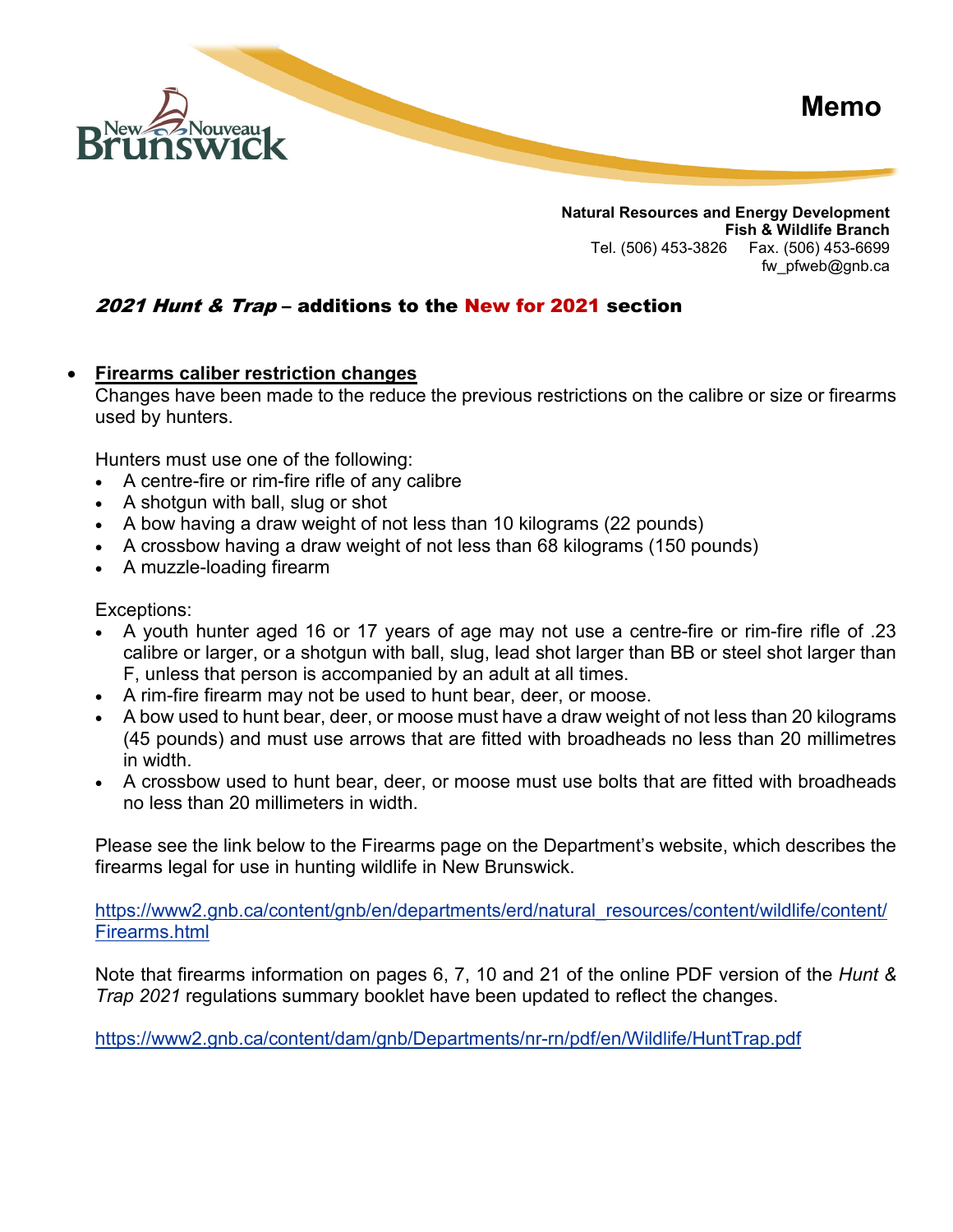

**Natural Resources and Energy Development Fish & Wildlife Branch** Tel. (506) 453-3826 Fax. (506) 453-6699 fw pfweb@gnb.ca

## 2021 Hunt & Trap – additions to the New for 2021 section

## • **Firearms caliber restriction changes**

Changes have been made to the reduce the previous restrictions on the calibre or size or firearms used by hunters.

Hunters must use one of the following:

- A centre-fire or rim-fire rifle of any calibre
- A shotgun with ball, slug or shot
- A bow having a draw weight of not less than 10 kilograms (22 pounds)
- A crossbow having a draw weight of not less than 68 kilograms (150 pounds)
- A muzzle-loading firearm

Exceptions:

- A youth hunter aged 16 or 17 years of age may not use a centre-fire or rim-fire rifle of .23 calibre or larger, or a shotgun with ball, slug, lead shot larger than BB or steel shot larger than F, unless that person is accompanied by an adult at all times.
- A rim-fire firearm may not be used to hunt bear, deer, or moose.
- A bow used to hunt bear, deer, or moose must have a draw weight of not less than 20 kilograms (45 pounds) and must use arrows that are fitted with broadheads no less than 20 millimetres in width.
- A crossbow used to hunt bear, deer, or moose must use bolts that are fitted with broadheads no less than 20 millimeters in width.

Please see the link below to the Firearms page on the Department's website, which describes the firearms legal for use in hunting wildlife in New Brunswick.

[https://www2.gnb.ca/content/gnb/en/departments/erd/natural\\_resources/content/wildlife/content/](https://www2.gnb.ca/content/gnb/en/departments/erd/natural_resources/content/wildlife/content/Firearms.html) [Firearms.html](https://www2.gnb.ca/content/gnb/en/departments/erd/natural_resources/content/wildlife/content/Firearms.html)

Note that firearms information on pages 6, 7, 10 and 21 of the online PDF version of the *Hunt & Trap 2021* regulations summary booklet have been updated to reflect the changes.

<https://www2.gnb.ca/content/dam/gnb/Departments/nr-rn/pdf/en/Wildlife/HuntTrap.pdf>